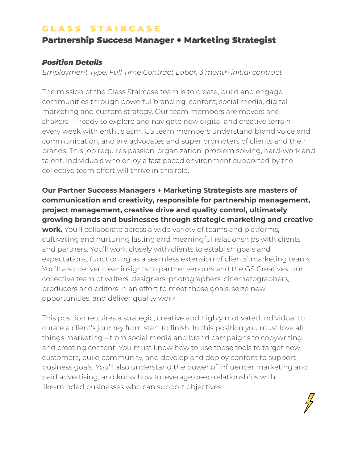### **GLASS STAIRCASE**

# Partnership Success Manager + Marketing Strategist

#### *Position Details*

*Employment Type: Full Time Contract Labor, 3 month initial contract*

The mission of the Glass Staircase team is to create, build and engage communities through powerful branding, content, social media, digital marketing and custom strategy. Our team members are movers and shakers — ready to explore and navigate new digital and creative terrain every week with enthusiasm! GS team members understand brand voice and communication, and are advocates and super promoters of clients and their brands. This job requires passion, organization, problem solving, hard-work and talent. Individuals who enjoy a fast paced environment supported by the collective team effort will thrive in this role.

**Our Partner Success Managers + Marketing Strategists are masters of communication and creativity, responsible for partnership management, project management, creative drive and quality control, ultimately growing brands and businesses through strategic marketing and creative work.** You'll collaborate across a wide variety of teams and platforms, cultivating and nurturing lasting and meaningful relationships with clients and partners. You'll work closely with clients to establish goals and expectations, functioning as a seamless extension of clients' marketing teams. You'll also deliver clear insights to partner vendors and the GS Creatives, our collective team of writers, designers, photographers, cinematographers, producers and editors in an effort to meet those goals, seize new opportunities, and deliver quality work.

This position requires a strategic, creative and highly motivated individual to curate a client's journey from start to finish. In this position you must love all things marketing – from social media and brand campaigns to copywriting and creating content. You must know how to use these tools to target new customers, build community, and develop and deploy content to support business goals. You'll also understand the power of influencer marketing and paid advertising, and know how to leverage deep relationships with like-minded businesses who can support objectives.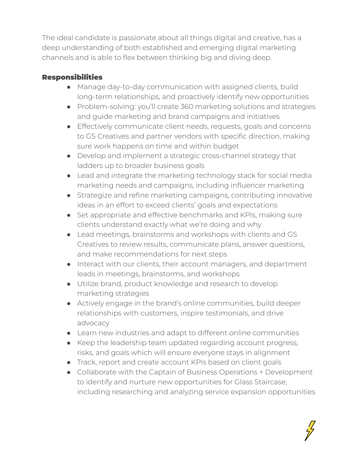The ideal candidate is passionate about all things digital and creative, has a deep understanding of both established and emerging digital marketing channels and is able to flex between thinking big and diving deep.

## Responsibilities

- Manage day-to-day communication with assigned clients, build long-term relationships, and proactively identify new opportunities
- Problem-solving: you'll create 360 marketing solutions and strategies and guide marketing and brand campaigns and initiatives
- Effectively communicate client needs, requests, goals and concerns to GS Creatives and partner vendors with specific direction, making sure work happens on time and within budget
- Develop and implement a strategic cross-channel strategy that ladders up to broader business goals
- Lead and integrate the marketing technology stack for social media marketing needs and campaigns, including influencer marketing
- Strategize and refine marketing campaigns, contributing innovative ideas in an effort to exceed clients' goals and expectations
- Set appropriate and effective benchmarks and KPIs, making sure clients understand exactly what we're doing and why
- Lead meetings, brainstorms and workshops with clients and GS Creatives to review results, communicate plans, answer questions, and make recommendations for next steps
- Interact with our clients, their account managers, and department leads in meetings, brainstorms, and workshops
- Utilize brand, product knowledge and research to develop marketing strategies
- Actively engage in the brand's online communities, build deeper relationships with customers, inspire testimonials, and drive advocacy
- Learn new industries and adapt to different online communities
- Keep the leadership team updated regarding account progress, risks, and goals which will ensure everyone stays in alignment
- Track, report and create account KPIs based on client goals
- Collaborate with the Captain of Business Operations + Development to identify and nurture new opportunities for Glass Staircase, including researching and analyzing service expansion opportunities